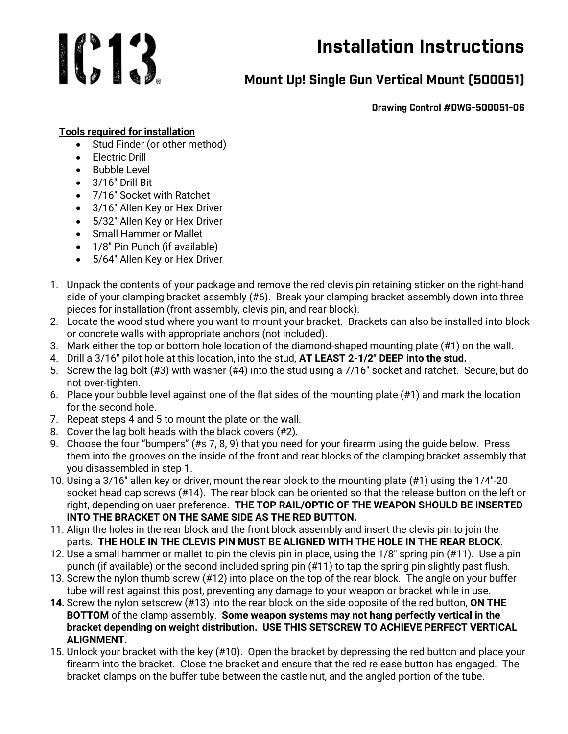## 1013

## Installation Instructions

## Mount Up! Single Gun Vertical Mount (500051)

Drawing Control #DWG-500051-06

## Tools required for installation

- Stud Finder (or other method)
- Electric Drill
- Bubble Level
- 3/16″ Drill Bit
- 7/16″ Socket with Ratchet
- 3/16" Allen Key or Hex Driver
- 5/32″ Allen Key or Hex Driver
- Small Hammer or Mallet
- 1/8″ Pin Punch (if available)
- 5/64″ Allen Key or Hex Driver
- 1. Unpack the contents of your package and remove the red clevis pin retaining sticker on the right-hand side of your clamping bracket assembly (#6). Break your clamping bracket assembly down into three pieces for installation (front assembly, clevis pin, and rear block).
- 2. Locate the wood stud where you want to mount your bracket. Brackets can also be installed into block or concrete walls with appropriate anchors (not included).
- 3. Mark either the top or bottom hole location of the diamond-shaped mounting plate (#1) on the wall.
- 4. Drill a 3/16″ pilot hole at this location, into the stud, AT LEAST 2-1/2″ DEEP into the stud.
- 5. Screw the lag bolt (#3) with washer (#4) into the stud using a 7/16″ socket and ratchet. Secure, but do not over-tighten.
- 6. Place your bubble level against one of the flat sides of the mounting plate (#1) and mark the location for the second hole.
- 7. Repeat steps 4 and 5 to mount the plate on the wall.
- 8. Cover the lag bolt heads with the black covers (#2).
- 9. Choose the four "bumpers" (#s 7, 8, 9) that you need for your firearm using the guide below. Press them into the grooves on the inside of the front and rear blocks of the clamping bracket assembly that you disassembled in step 1.
- 10. Using a 3/16″ allen key or driver, mount the rear block to the mounting plate (#1) using the 1/4″-20 socket head cap screws (#14). The rear block can be oriented so that the release button on the left or right, depending on user preference. THE TOP RAIL/OPTIC OF THE WEAPON SHOULD BE INSERTED INTO THE BRACKET ON THE SAME SIDE AS THE RED BUTTON.
- 11. Align the holes in the rear block and the front block assembly and insert the clevis pin to join the parts. THE HOLE IN THE CLEVIS PIN MUST BE ALIGNED WITH THE HOLE IN THE REAR BLOCK.
- 12. Use a small hammer or mallet to pin the clevis pin in place, using the 1/8″ spring pin (#11). Use a pin punch (if available) or the second included spring pin (#11) to tap the spring pin slightly past flush.
- 13. Screw the nylon thumb screw (#12) into place on the top of the rear block. The angle on your buffer tube will rest against this post, preventing any damage to your weapon or bracket while in use.
- 14. Screw the nylon setscrew (#13) into the rear block on the side opposite of the red button, ON THE BOTTOM of the clamp assembly. Some weapon systems may not hang perfectly vertical in the bracket depending on weight distribution. USE THIS SETSCREW TO ACHIEVE PERFECT VERTICAL ALIGNMENT.
- 15. Unlock your bracket with the key (#10). Open the bracket by depressing the red button and place your firearm into the bracket. Close the bracket and ensure that the red release button has engaged. The bracket clamps on the buffer tube between the castle nut, and the angled portion of the tube.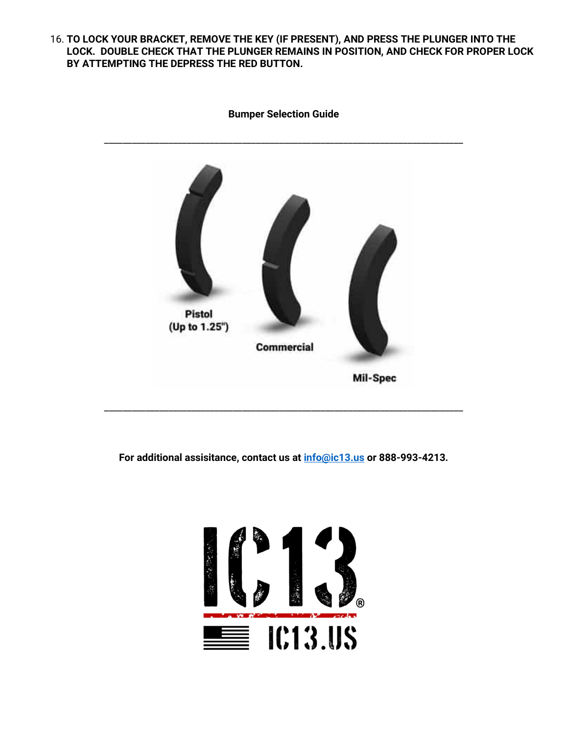16. TO LOCK YOUR BRACKET, REMOVE THE KEY (IF PRESENT), AND PRESS THE PLUNGER INTO THE LOCK. DOUBLE CHECK THAT THE PLUNGER REMAINS IN POSITION, AND CHECK FOR PROPER LOCK BY ATTEMPTING THE DEPRESS THE RED BUTTON.



Bumper Selection Guide

For additional assisitance, contact us at **info@ic13.us** or 888-993-4213.